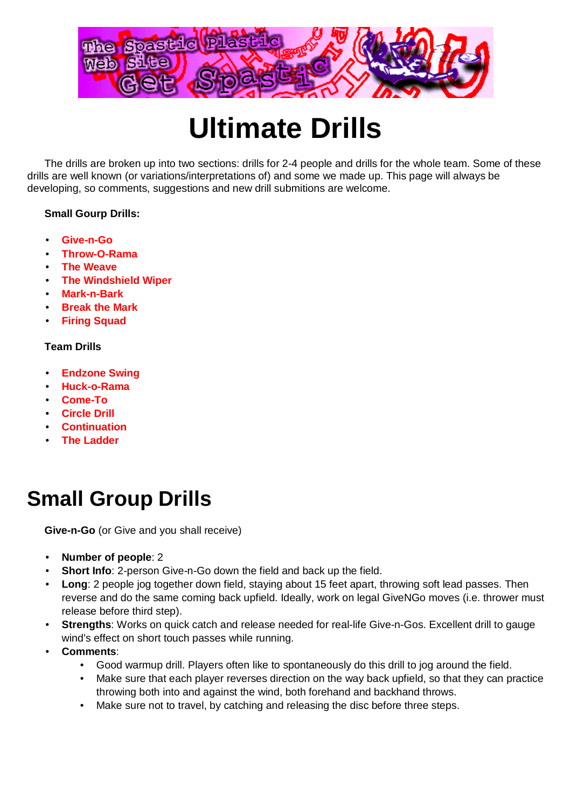

# **Ultimate Drills**

The drills are broken up into two sections: drills for 2-4 people and drills for the whole team. Some of these drills are well known (or variations/interpretations of) and some we made up. This page will always be developing, so comments, suggestions and new drill submitions are welcome.

#### **Small Gourp Drills:**

- **Give-n-Go**
- **Throw-O-Rama**
- **The Weave**
- **The Windshield Wiper**
- **Mark-n-Bark**
- **Break the Mark**
- **Firing Squad**

#### **Team Drills**

- **Endzone Swing**
- **Huck-o-Rama**
- **Come-To**
- **Circle Drill**
- **Continuation**
- **The Ladder**

# **Small Group Drills**

**Give-n-Go** (or Give and you shall receive)

- **Number of people**: 2
- **Short Info**: 2-person Give-n-Go down the field and back up the field.
- **Long**: 2 people jog together down field, staying about 15 feet apart, throwing soft lead passes. Then reverse and do the same coming back upfield. Ideally, work on legal GiveNGo moves (i.e. thrower must release before third step).
- **Strengths**: Works on quick catch and release needed for real-life Give-n-Gos. Excellent drill to gauge wind's effect on short touch passes while running.
- **Comments**:
	- Good warmup drill. Players often like to spontaneously do this drill to jog around the field.
	- Make sure that each player reverses direction on the way back upfield, so that they can practice throwing both into and against the wind, both forehand and backhand throws.
	- Make sure not to travel, by catching and releasing the disc before three steps.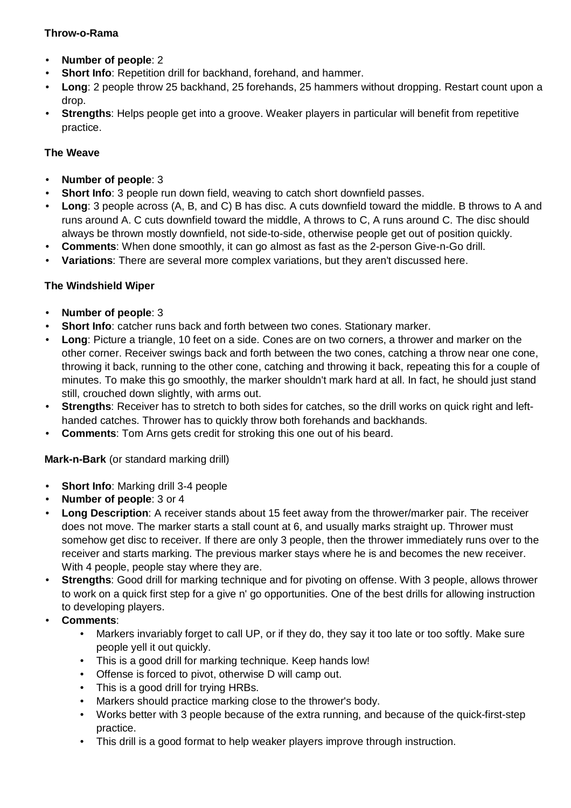#### **Throw-o-Rama**

- **Number of people**: 2
- **Short Info**: Repetition drill for backhand, forehand, and hammer.
- **Long**: 2 people throw 25 backhand, 25 forehands, 25 hammers without dropping. Restart count upon a drop.
- **Strengths:** Helps people get into a groove. Weaker players in particular will benefit from repetitive practice.

## **The Weave**

- **Number of people**: 3
- **Short Info**: 3 people run down field, weaving to catch short downfield passes.
- **Long**: 3 people across (A, B, and C) B has disc. A cuts downfield toward the middle. B throws to A and runs around A. C cuts downfield toward the middle, A throws to C, A runs around C. The disc should always be thrown mostly downfield, not side-to-side, otherwise people get out of position quickly.
- **Comments**: When done smoothly, it can go almost as fast as the 2-person Give-n-Go drill.
- **Variations**: There are several more complex variations, but they aren't discussed here.

## **The Windshield Wiper**

- **Number of people**: 3
- **Short Info**: catcher runs back and forth between two cones. Stationary marker.
- **Long**: Picture a triangle, 10 feet on a side. Cones are on two corners, a thrower and marker on the other corner. Receiver swings back and forth between the two cones, catching a throw near one cone, throwing it back, running to the other cone, catching and throwing it back, repeating this for a couple of minutes. To make this go smoothly, the marker shouldn't mark hard at all. In fact, he should just stand still, crouched down slightly, with arms out.
- **Strengths**: Receiver has to stretch to both sides for catches, so the drill works on quick right and lefthanded catches. Thrower has to quickly throw both forehands and backhands.
- **Comments:** Tom Arns gets credit for stroking this one out of his beard.

**Mark-n-Bark** (or standard marking drill)

- **Short Info**: Marking drill 3-4 people
- **Number of people**: 3 or 4
- **Long Description**: A receiver stands about 15 feet away from the thrower/marker pair. The receiver does not move. The marker starts a stall count at 6, and usually marks straight up. Thrower must somehow get disc to receiver. If there are only 3 people, then the thrower immediately runs over to the receiver and starts marking. The previous marker stays where he is and becomes the new receiver. With 4 people, people stay where they are.
- **Strengths**: Good drill for marking technique and for pivoting on offense. With 3 people, allows thrower to work on a quick first step for a give n' go opportunities. One of the best drills for allowing instruction to developing players.
- **Comments**:
	- Markers invariably forget to call UP, or if they do, they say it too late or too softly. Make sure people yell it out quickly.
	- This is a good drill for marking technique. Keep hands low!
	- Offense is forced to pivot, otherwise D will camp out.
	- This is a good drill for trying HRBs.
	- Markers should practice marking close to the thrower's body.
	- Works better with 3 people because of the extra running, and because of the quick-first-step practice.
	- This drill is a good format to help weaker players improve through instruction.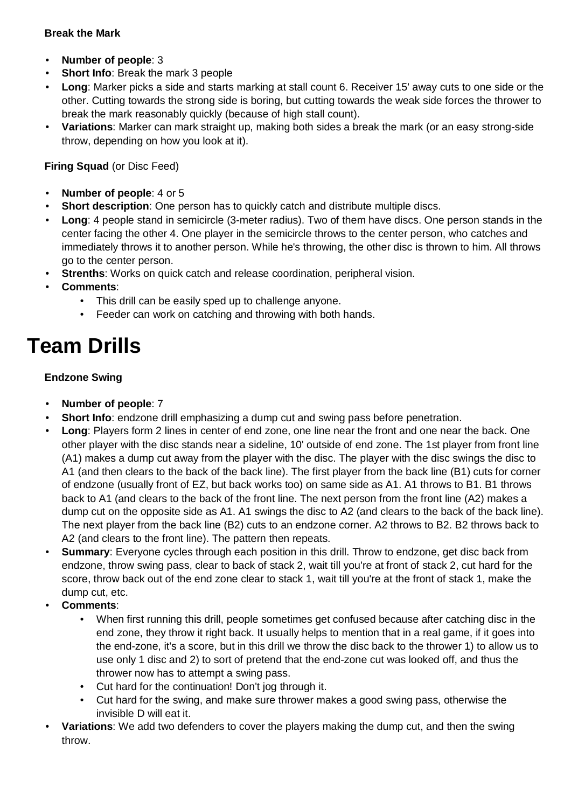#### **Break the Mark**

- **Number of people**: 3
- **Short Info:** Break the mark 3 people
- **Long**: Marker picks a side and starts marking at stall count 6. Receiver 15' away cuts to one side or the other. Cutting towards the strong side is boring, but cutting towards the weak side forces the thrower to break the mark reasonably quickly (because of high stall count).
- **Variations**: Marker can mark straight up, making both sides a break the mark (or an easy strong-side throw, depending on how you look at it).

**Firing Squad** (or Disc Feed)

- **Number of people**: 4 or 5
- **Short description**: One person has to quickly catch and distribute multiple discs.
- **Long**: 4 people stand in semicircle (3-meter radius). Two of them have discs. One person stands in the center facing the other 4. One player in the semicircle throws to the center person, who catches and immediately throws it to another person. While he's throwing, the other disc is thrown to him. All throws go to the center person.
- **Strenths:** Works on quick catch and release coordination, peripheral vision.
- **Comments**:
	- This drill can be easily sped up to challenge anyone.
	- Feeder can work on catching and throwing with both hands.

# **Team Drills**

#### **Endzone Swing**

- **Number of people**: 7
- **Short Info**: endzone drill emphasizing a dump cut and swing pass before penetration.
- **Long**: Players form 2 lines in center of end zone, one line near the front and one near the back. One other player with the disc stands near a sideline, 10' outside of end zone. The 1st player from front line (A1) makes a dump cut away from the player with the disc. The player with the disc swings the disc to A1 (and then clears to the back of the back line). The first player from the back line (B1) cuts for corner of endzone (usually front of EZ, but back works too) on same side as A1. A1 throws to B1. B1 throws back to A1 (and clears to the back of the front line. The next person from the front line (A2) makes a dump cut on the opposite side as A1. A1 swings the disc to A2 (and clears to the back of the back line). The next player from the back line (B2) cuts to an endzone corner. A2 throws to B2. B2 throws back to A2 (and clears to the front line). The pattern then repeats.
- **Summary**: Everyone cycles through each position in this drill. Throw to endzone, get disc back from endzone, throw swing pass, clear to back of stack 2, wait till you're at front of stack 2, cut hard for the score, throw back out of the end zone clear to stack 1, wait till you're at the front of stack 1, make the dump cut, etc.
- **Comments**:
	- When first running this drill, people sometimes get confused because after catching disc in the end zone, they throw it right back. It usually helps to mention that in a real game, if it goes into the end-zone, it's a score, but in this drill we throw the disc back to the thrower 1) to allow us to use only 1 disc and 2) to sort of pretend that the end-zone cut was looked off, and thus the thrower now has to attempt a swing pass.
	- Cut hard for the continuation! Don't jog through it.
	- Cut hard for the swing, and make sure thrower makes a good swing pass, otherwise the invisible D will eat it.
- **Variations**: We add two defenders to cover the players making the dump cut, and then the swing throw.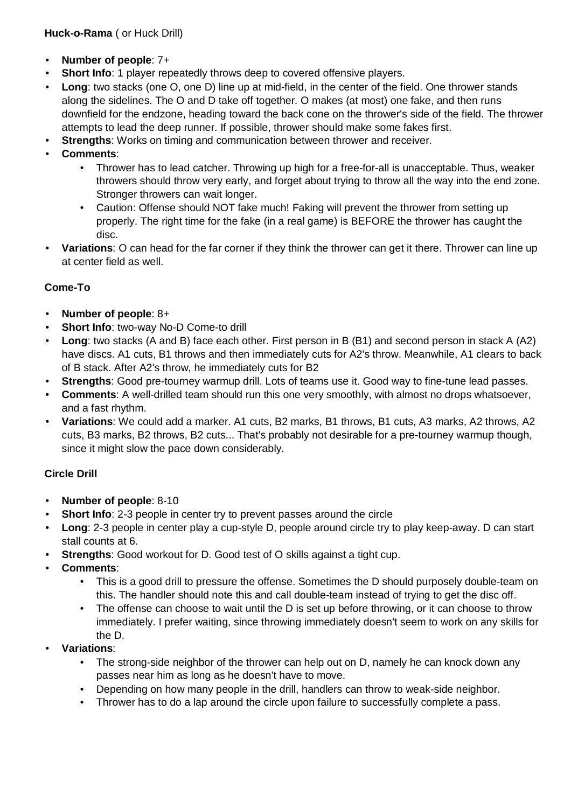**Huck-o-Rama** ( or Huck Drill)

- **Number of people**: 7+
- **Short Info**: 1 player repeatedly throws deep to covered offensive players.
- **Long**: two stacks (one O, one D) line up at mid-field, in the center of the field. One thrower stands along the sidelines. The O and D take off together. O makes (at most) one fake, and then runs downfield for the endzone, heading toward the back cone on the thrower's side of the field. The thrower attempts to lead the deep runner. If possible, thrower should make some fakes first.
- **Strengths:** Works on timing and communication between thrower and receiver.
- **Comments**:
	- Thrower has to lead catcher. Throwing up high for a free-for-all is unacceptable. Thus, weaker throwers should throw very early, and forget about trying to throw all the way into the end zone. Stronger throwers can wait longer.
	- Caution: Offense should NOT fake much! Faking will prevent the thrower from setting up properly. The right time for the fake (in a real game) is BEFORE the thrower has caught the disc.
- **Variations**: O can head for the far corner if they think the thrower can get it there. Thrower can line up at center field as well.

#### **Come-To**

- **Number of people**: 8+
- **Short Info**: two-way No-D Come-to drill
- **Long**: two stacks (A and B) face each other. First person in B (B1) and second person in stack A (A2) have discs. A1 cuts, B1 throws and then immediately cuts for A2's throw. Meanwhile, A1 clears to back of B stack. After A2's throw, he immediately cuts for B2
- **Strengths:** Good pre-tourney warmup drill. Lots of teams use it. Good way to fine-tune lead passes.
- **Comments**: A well-drilled team should run this one very smoothly, with almost no drops whatsoever, and a fast rhythm.
- **Variations**: We could add a marker. A1 cuts, B2 marks, B1 throws, B1 cuts, A3 marks, A2 throws, A2 cuts, B3 marks, B2 throws, B2 cuts... That's probably not desirable for a pre-tourney warmup though, since it might slow the pace down considerably.

## **Circle Drill**

- **Number of people**: 8-10
- **Short Info**: 2-3 people in center try to prevent passes around the circle
- **Long**: 2-3 people in center play a cup-style D, people around circle try to play keep-away. D can start stall counts at 6.
- **Strengths:** Good workout for D. Good test of O skills against a tight cup.
- **Comments**:
	- This is a good drill to pressure the offense. Sometimes the D should purposely double-team on this. The handler should note this and call double-team instead of trying to get the disc off.
	- The offense can choose to wait until the D is set up before throwing, or it can choose to throw immediately. I prefer waiting, since throwing immediately doesn't seem to work on any skills for the D.
- **Variations**:
	- The strong-side neighbor of the thrower can help out on D, namely he can knock down any passes near him as long as he doesn't have to move.
	- Depending on how many people in the drill, handlers can throw to weak-side neighbor.
	- Thrower has to do a lap around the circle upon failure to successfully complete a pass.